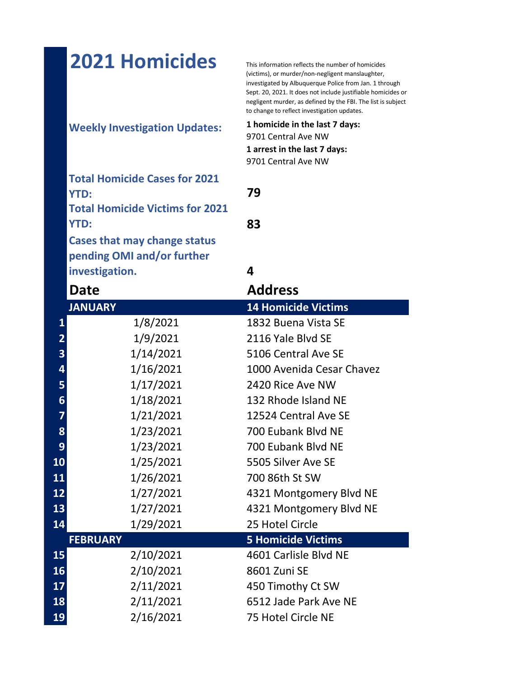|                         |           | This information reflects the number of homicides<br>(victims), or murder/non-negligent manslaughter,<br>investigated by Albuquerque Police from Jan. 1 through<br>Sept. 20, 2021. It does not include justifiable homicides or<br>negligent murder, as defined by the FBI. The list is subject<br>to change to reflect investigation updates. |
|-------------------------|-----------|------------------------------------------------------------------------------------------------------------------------------------------------------------------------------------------------------------------------------------------------------------------------------------------------------------------------------------------------|
|                         |           | 1 homicide in the last 7 days:                                                                                                                                                                                                                                                                                                                 |
|                         |           | 9701 Central Ave NW                                                                                                                                                                                                                                                                                                                            |
|                         |           | 1 arrest in the last 7 days:                                                                                                                                                                                                                                                                                                                   |
|                         |           | 9701 Central Ave NW                                                                                                                                                                                                                                                                                                                            |
|                         |           |                                                                                                                                                                                                                                                                                                                                                |
| <b>YTD:</b>             |           | 79                                                                                                                                                                                                                                                                                                                                             |
|                         |           |                                                                                                                                                                                                                                                                                                                                                |
| <b>YTD:</b>             |           | 83                                                                                                                                                                                                                                                                                                                                             |
|                         |           |                                                                                                                                                                                                                                                                                                                                                |
|                         |           |                                                                                                                                                                                                                                                                                                                                                |
|                         |           | 4                                                                                                                                                                                                                                                                                                                                              |
|                         |           | <b>Address</b>                                                                                                                                                                                                                                                                                                                                 |
|                         |           | <b>14 Homicide Victims</b>                                                                                                                                                                                                                                                                                                                     |
|                         |           | 1832 Buena Vista SE                                                                                                                                                                                                                                                                                                                            |
|                         |           |                                                                                                                                                                                                                                                                                                                                                |
|                         |           |                                                                                                                                                                                                                                                                                                                                                |
| $\overline{\mathbf{2}}$ | 1/9/2021  | 2116 Yale Blyd SE                                                                                                                                                                                                                                                                                                                              |
| 3                       | 1/14/2021 | 5106 Central Ave SE                                                                                                                                                                                                                                                                                                                            |
| $\overline{\mathbf{a}}$ | 1/16/2021 | 1000 Avenida Cesar Chavez                                                                                                                                                                                                                                                                                                                      |
| 5                       | 1/17/2021 | 2420 Rice Ave NW                                                                                                                                                                                                                                                                                                                               |
| $\boldsymbol{6}$        | 1/18/2021 | 132 Rhode Island NE                                                                                                                                                                                                                                                                                                                            |
| $\overline{7}$          | 1/21/2021 | 12524 Central Ave SE                                                                                                                                                                                                                                                                                                                           |
| 8                       | 1/23/2021 | 700 Eubank Blyd NE                                                                                                                                                                                                                                                                                                                             |
| 9                       | 1/23/2021 | 700 Eubank Blyd NE                                                                                                                                                                                                                                                                                                                             |
| 10                      | 1/25/2021 | 5505 Silver Ave SE                                                                                                                                                                                                                                                                                                                             |
| 11                      | 1/26/2021 | 700 86th St SW                                                                                                                                                                                                                                                                                                                                 |
| 12                      | 1/27/2021 | 4321 Montgomery Blvd NE                                                                                                                                                                                                                                                                                                                        |
| 13                      | 1/27/2021 | 4321 Montgomery Blvd NE                                                                                                                                                                                                                                                                                                                        |
| 14                      | 1/29/2021 | 25 Hotel Circle                                                                                                                                                                                                                                                                                                                                |
| <b>FEBRUARY</b>         |           | <b>5 Homicide Victims</b>                                                                                                                                                                                                                                                                                                                      |
| 15                      | 2/10/2021 | 4601 Carlisle Blvd NE                                                                                                                                                                                                                                                                                                                          |
| 16                      | 2/10/2021 | 8601 Zuni SE                                                                                                                                                                                                                                                                                                                                   |
| 17                      | 2/11/2021 | 450 Timothy Ct SW                                                                                                                                                                                                                                                                                                                              |
| 18                      | 2/11/2021 | 6512 Jade Park Ave NE                                                                                                                                                                                                                                                                                                                          |
|                         |           | <b>2021 Homicides</b><br><b>Weekly Investigation Updates:</b><br><b>Total Homicide Cases for 2021</b><br><b>Total Homicide Victims for 2021</b><br>Cases that may change status<br>pending OMI and/or further<br>investigation.<br><b>Date</b><br><b>JANUARY</b><br>1/8/2021<br>$\mathbf{1}$                                                   |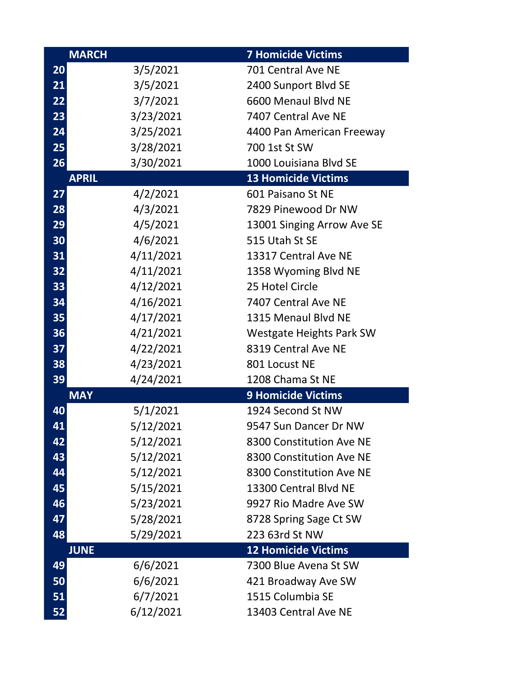|           | <b>MARCH</b> | <b>7 Homicide Victims</b>       |
|-----------|--------------|---------------------------------|
| <b>20</b> | 3/5/2021     | 701 Central Ave NE              |
| 21        | 3/5/2021     | 2400 Sunport Blvd SE            |
| 22        | 3/7/2021     | 6600 Menaul Blvd NE             |
| 23        | 3/23/2021    | 7407 Central Ave NE             |
| 24        | 3/25/2021    | 4400 Pan American Freeway       |
| 25        | 3/28/2021    | 700 1st St SW                   |
| 26        | 3/30/2021    | 1000 Louisiana Blvd SE          |
|           | <b>APRIL</b> | <b>13 Homicide Victims</b>      |
| 27        | 4/2/2021     | 601 Paisano St NE               |
| 28        | 4/3/2021     | 7829 Pinewood Dr NW             |
| 29        | 4/5/2021     | 13001 Singing Arrow Ave SE      |
| 30        | 4/6/2021     | 515 Utah St SE                  |
| 31        | 4/11/2021    | 13317 Central Ave NE            |
| 32        | 4/11/2021    | 1358 Wyoming Blvd NE            |
| 33        | 4/12/2021    | 25 Hotel Circle                 |
| 34        | 4/16/2021    | 7407 Central Ave NE             |
| 35        | 4/17/2021    | 1315 Menaul Blvd NE             |
| 36        | 4/21/2021    | <b>Westgate Heights Park SW</b> |
| 37        | 4/22/2021    | 8319 Central Ave NE             |
| 38        | 4/23/2021    | 801 Locust NE                   |
| 39        | 4/24/2021    | 1208 Chama St NE                |
|           | <b>MAY</b>   | <b>9 Homicide Victims</b>       |
| 40        | 5/1/2021     | 1924 Second St NW               |
| 41        | 5/12/2021    | 9547 Sun Dancer Dr NW           |
| 42        | 5/12/2021    | 8300 Constitution Ave NE        |
| 43        | 5/12/2021    | 8300 Constitution Ave NE        |
| 44        | 5/12/2021    | 8300 Constitution Ave NE        |
| 45        | 5/15/2021    | 13300 Central Blvd NE           |
| 46        | 5/23/2021    | 9927 Rio Madre Ave SW           |
| 47        | 5/28/2021    | 8728 Spring Sage Ct SW          |
| 48        | 5/29/2021    | 223 63rd St NW                  |
|           | <b>JUNE</b>  | <b>12 Homicide Victims</b>      |
| 49        | 6/6/2021     | 7300 Blue Avena St SW           |
| 50        | 6/6/2021     | 421 Broadway Ave SW             |
| 51        | 6/7/2021     | 1515 Columbia SE                |
| 52        | 6/12/2021    | 13403 Central Ave NE            |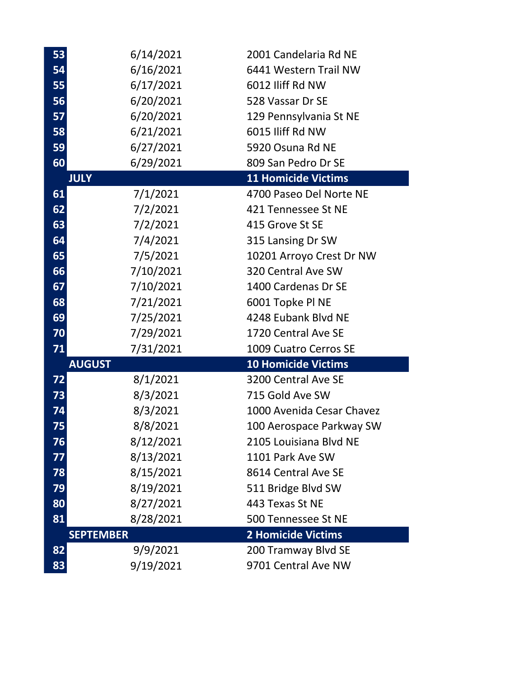| 53 | 6/14/2021        | 2001 Candelaria Rd NE      |
|----|------------------|----------------------------|
| 54 | 6/16/2021        | 6441 Western Trail NW      |
| 55 | 6/17/2021        | 6012 Iliff Rd NW           |
| 56 | 6/20/2021        | 528 Vassar Dr SE           |
| 57 | 6/20/2021        | 129 Pennsylvania St NE     |
| 58 | 6/21/2021        | 6015 Iliff Rd NW           |
| 59 | 6/27/2021        | 5920 Osuna Rd NE           |
| 60 | 6/29/2021        | 809 San Pedro Dr SE        |
|    | <b>JULY</b>      | <b>11 Homicide Victims</b> |
| 61 | 7/1/2021         | 4700 Paseo Del Norte NE    |
| 62 | 7/2/2021         | 421 Tennessee St NE        |
| 63 | 7/2/2021         | 415 Grove St SE            |
| 64 | 7/4/2021         | 315 Lansing Dr SW          |
| 65 | 7/5/2021         | 10201 Arroyo Crest Dr NW   |
| 66 | 7/10/2021        | 320 Central Ave SW         |
| 67 | 7/10/2021        | 1400 Cardenas Dr SE        |
| 68 | 7/21/2021        | 6001 Topke Pl NE           |
| 69 | 7/25/2021        | 4248 Eubank Blvd NE        |
|    |                  |                            |
| 70 | 7/29/2021        | 1720 Central Ave SE        |
| 71 | 7/31/2021        | 1009 Cuatro Cerros SE      |
|    | <b>AUGUST</b>    | <b>10 Homicide Victims</b> |
| 72 | 8/1/2021         | 3200 Central Ave SE        |
| 73 | 8/3/2021         | 715 Gold Ave SW            |
| 74 | 8/3/2021         | 1000 Avenida Cesar Chavez  |
| 75 | 8/8/2021         | 100 Aerospace Parkway SW   |
| 76 | 8/12/2021        | 2105 Louisiana Blvd NE     |
| 77 | 8/13/2021        | 1101 Park Ave SW           |
| 78 | 8/15/2021        | 8614 Central Ave SE        |
| 79 | 8/19/2021        | 511 Bridge Blvd SW         |
| 80 | 8/27/2021        | 443 Texas St NE            |
| 81 | 8/28/2021        | 500 Tennessee St NE        |
|    | <b>SEPTEMBER</b> | <b>2 Homicide Victims</b>  |
| 82 | 9/9/2021         | 200 Tramway Blvd SE        |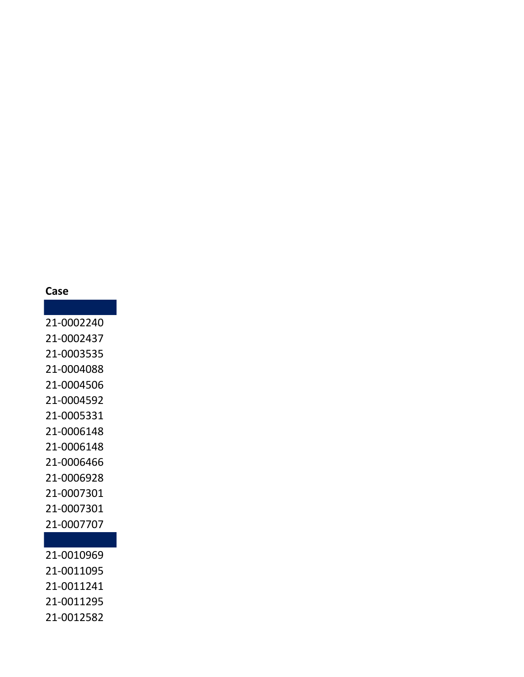## **Case**

21-0002240 21-0002437 21-0003535 21-0004088 21-0004506 21-0004592 21-0005331 21-0006148 21-0006148 21-0006466 21-0006928 21-0007301 21-0007301 21-0007707

21-0010969 21-0011095 21-0011241 21-0011295 21-0012582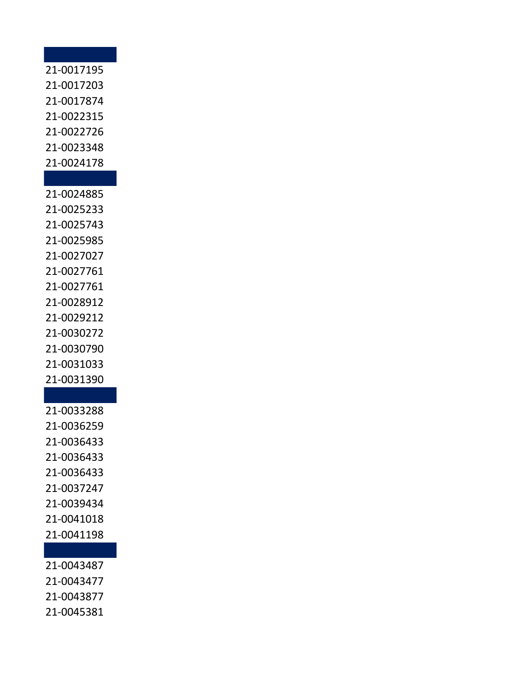## 21-0017195 21-0017203 21-0017874 21-0022315 21-0022726 21-0023348 21-0024178

21-0024885 21-0025233 21-0025743 21-0025985 21-0027027 21-0027761 21-0027761 21-0028912 21-0029212 21-0030272 21-0030790 21-0031033 21-0031390

21-0033288 21-0036259 21-0036433 21-0036433 21-0036433 21-0037247 21-0039434 21-0041018 21-0041198

21-0043487

21-0043477

21-0043877

21-0045381